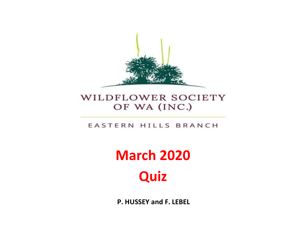

#### WILDFLOWER SOCIETY OF WA (INC.)

#### EASTERN HILLS BRANCH

# **March 2020 Quiz**

**P. HUSSEY and F. LEBEL**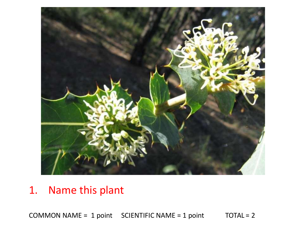

### 1. Name this plant

COMMON NAME =  $1$  point SCIENTIFIC NAME =  $1$  point TOTAL =  $2$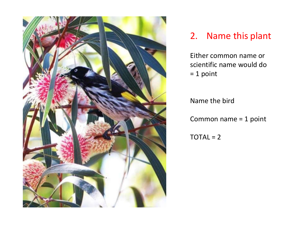

#### 2. Name this plant

Either common name or scientific name would do = 1 point

Name the bird

Common name = 1 point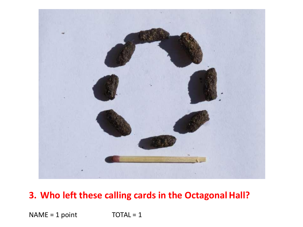

#### **3. Who left these calling cards in the Octagonal Hall?**

 $NAME = 1 point$  TOTAL = 1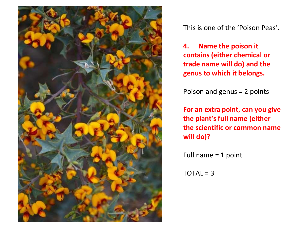

This is one of the 'Poison Peas'.

**4. Name the poison it contains (either chemical or trade name will do) and the genus to which it belongs.**

Poison and genus = 2 points

**For an extra point, can you give the plant's full name (either the scientific or common name will do)?**

Full name = 1 point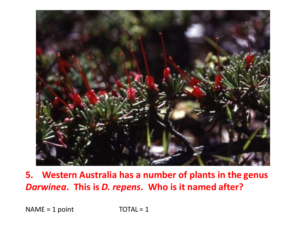

**5. Western Australia has a number of plants in the genus** *Darwinea***. This is** *D. repens***. Who is it named after?**

 $NAME = 1 point$  TOTAL = 1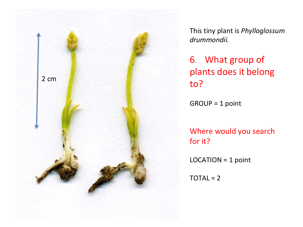

This tiny plant is *Phylloglossum drummondii.*

6 . What group of plants does it belong to?

GROUP = 1 point

Where would you search for it?

LOCATION = 1 point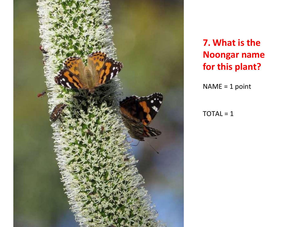

**7. What is the Noongar name for this plant?**

NAME = 1 point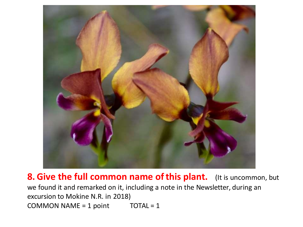

**8. Give the full common name ofthis plant.** (It is uncommon, but we found it and remarked on it, including a note in the Newsletter, during an excursion to Mokine N.R. in 2018) COMMON NAME =  $1$  point TOTAL =  $1$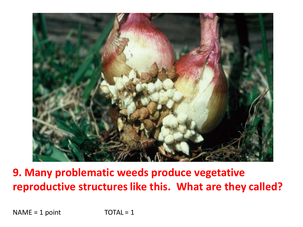

## **9. Many problematic weeds produce vegetative reproductive structureslike this. What are they called?**

 $NAME = 1$  point  $TOTAL = 1$